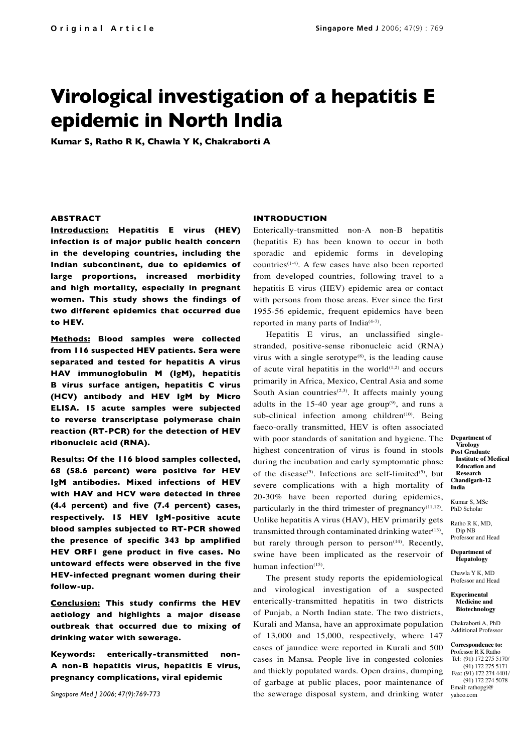# **Virological investigation of a hepatitis E epidemic in North India**

**Kumar S, Ratho R K, Chawla Y K, Chakraborti A**

#### **ABSTRACT**

**Introduction: Hepatitis E virus (HEV) infection is of major public health concern in the developing countries, including the Indian subcontinent, due to epidemics of large proportions, increased morbidity and high mortality, especially in pregnant women. This study shows the findings of two different epidemics that occurred due to HEV.** 

**Methods: Blood samples were collected from 116 suspected HEV patients. Sera were separated and tested for hepatitis A virus HAV immunoglobulin M (IgM), hepatitis B virus surface antigen, hepatitis C virus (HCV) antibody and HEV IgM by Micro ELISA. 15 acute samples were subjected to reverse transcriptase polymerase chain reaction (RT-PCR) for the detection of HEV ribonucleic acid (RNA).** 

**Results: Of the 116 blood samples collected, 68 (58.6 percent) were positive for HEV IgM antibodies. Mixed infections of HEV with HAV and HCV were detected in three (4.4 percent) and five (7.4 percent) cases, respectively. 15 HEV IgM-positive acute blood samples subjected to RT-PCR showed the presence of specific 343 bp amplified HEV ORF1 gene product in five cases. No untoward effects were observed in the five HEV-infected pregnant women during their follow-up.** 

**Conclusion: This study confirms the HEV aetiology and highlights a major disease outbreak that occurred due to mixing of drinking water with sewerage.** 

**Keywords: enterically-transmitted non-A non-B hepatitis virus, hepatitis E virus, pregnancy complications, viral epidemic**

*Singapore Med J 2006; 47(9):769-773*

### **INTRODUCTION**

Enterically-transmitted non-A non-B hepatitis (hepatitis E) has been known to occur in both sporadic and epidemic forms in developing countries $(1-4)$ . A few cases have also been reported from developed countries, following travel to a hepatitis E virus (HEV) epidemic area or contact with persons from those areas. Ever since the first 1955-56 epidemic, frequent epidemics have been reported in many parts of India $(4-7)$ .

Hepatitis E virus, an unclassified singlestranded, positive-sense ribonucleic acid (RNA) virus with a single serotype $(8)$ , is the leading cause of acute viral hepatitis in the world $(1,2)$  and occurs primarily in Africa, Mexico, Central Asia and some South Asian countries<sup> $(2,3)$ </sup>. It affects mainly young adults in the  $15-40$  year age group<sup>(9)</sup>, and runs a sub-clinical infection among children<sup>(10)</sup>. Being faeco-orally transmitted, HEV is often associated with poor standards of sanitation and hygiene. The highest concentration of virus is found in stools during the incubation and early symptomatic phase of the disease<sup>(5)</sup>. Infections are self-limited<sup>(5)</sup>, but severe complications with a high mortality of 20-30% have been reported during epidemics, particularly in the third trimester of pregnancy $(11,12)$ . Unlike hepatitis A virus (HAV), HEV primarily gets transmitted through contaminated drinking water $(13)$ , but rarely through person to person<sup>(14)</sup>. Recently, swine have been implicated as the reservoir of human infection $(15)$ .

The present study reports the epidemiological and virological investigation of a suspected enterically-transmitted hepatitis in two districts of Punjab, a North Indian state. The two districts, Kurali and Mansa, have an approximate population of 13,000 and 15,000, respectively, where 147 cases of jaundice were reported in Kurali and 500 cases in Mansa. People live in congested colonies and thickly populated wards. Open drains, dumping of garbage at public places, poor maintenance of the sewerage disposal system, and drinking water

**Department of Virology Post Graduate Institute of Medical Education and Research Chandigarh-12 India**

Kumar S, MSc PhD Scholar

Ratho R K, MD, Dip NB Professor and Head

**Department of Hepatology**

Chawla Y K, MD Professor and Head

#### **Experimental Medicine and Biotechnology**

Chakraborti A, PhD Additional Professor

**Correspondence to:**  Professor R K Ratho

Tel: (91) 172 275 5170/ (91) 172 275 5171 Fax: (91) 172 274 4401/ (91) 172 274 5078 Email: rathopgi@ yahoo.com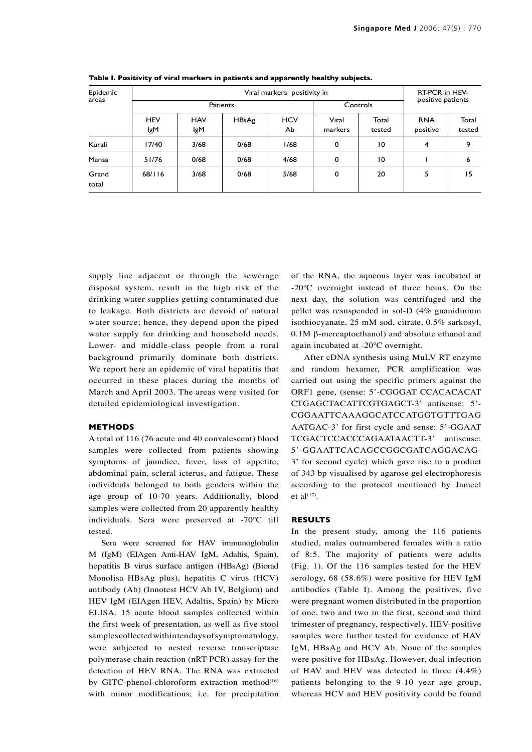| Epidemic<br>areas | Viral markers positivity in |                   |       |                  |                  |                 | RT-PCR in HEV-         |                 |
|-------------------|-----------------------------|-------------------|-------|------------------|------------------|-----------------|------------------------|-----------------|
|                   | Patients                    |                   |       |                  | Controls         |                 | positive patients      |                 |
|                   | <b>HEV</b><br>lgM           | <b>HAV</b><br>lgM | HBsAg | <b>HCV</b><br>Ab | Viral<br>markers | Total<br>tested | <b>RNA</b><br>positive | Total<br>tested |
| Kurali            | 17/40                       | 3/68              | 0/68  | 1/68             | 0                | $\overline{0}$  | $\overline{4}$         | 9               |
| Mansa             | 51/76                       | 0/68              | 0/68  | 4/68             | $\mathbf 0$      | $\overline{0}$  |                        | 6               |
| Grand<br>total    | 68/116                      | 3/68              | 0/68  | 5/68             | 0                | 20              | 5                      | 15              |

**Table I. Positivity of viral markers in patients and apparently healthy subjects.**

supply line adjacent or through the sewerage disposal system, result in the high risk of the drinking water supplies getting contaminated due to leakage. Both districts are devoid of natural water source; hence, they depend upon the piped water supply for drinking and household needs. Lower- and middle-class people from a rural background primarily dominate both districts. We report here an epidemic of viral hepatitis that occurred in these places during the months of March and April 2003. The areas were visited for detailed epidemiological investigation.

#### **METHODS**

A total of 116 (76 acute and 40 convalescent) blood samples were collected from patients showing symptoms of jaundice, fever, loss of appetite, abdominal pain, scleral icterus, and fatigue. These individuals belonged to both genders within the age group of 10-70 years. Additionally, blood samples were collected from 20 apparently healthy individuals. Sera were preserved at -70ºC till tested.

Sera were screened for HAV immunoglobulin M (IgM) (EIAgen Anti-HAV IgM, Adaltis, Spain), hepatitis B virus surface antigen (HBsAg) (Biorad Monolisa HBsAg plus), hepatitis C virus (HCV) antibody (Ab) (Innotest HCV Ab IV, Belgium) and HEV IgM (EIAgen HEV, Adaltis, Spain) by Micro ELISA. 15 acute blood samples collected within the first week of presentation, as well as five stool samples collected within ten days of symptomatology, were subjected to nested reverse transcriptase polymerase chain reaction (nRT-PCR) assay for the detection of HEV RNA. The RNA was extracted by GITC-phenol-chloroform extraction method $(16)$ with minor modifications; i.e. for precipitation of the RNA, the aqueous layer was incubated at -20ºC overnight instead of three hours. On the next day, the solution was centrifuged and the pellet was resuspended in sol-D (4% guanidinium isothiocyanate, 25 mM sod. citrate, 0.5% sarkosyl, 0.1M β-mercaptoethanol) and absolute ethanol and again incubated at -20ºC overnight.

After cDNA synthesis using MuLV RT enzyme and random hexamer, PCR amplification was carried out using the specific primers against the ORF1 gene, (sense: 5'-CGGGAT CCACACACAT CTGAGCTACATTCGTGAGCT-3' antisense: 5'- CGGAATTCAAAGGCATCCATGGTGTTTGAG AATGAC-3' for first cycle and sense: 5'-GGAAT TCGACTCCACCCAGAATAACTT-3' antisense: 5'-GGAATTCACAGCCGGCGATCAGGACAG-3' for second cycle) which gave rise to a product of 343 bp visualised by agarose gel electrophoresis according to the protocol mentioned by Jameel et al $(17)$ .

## **RESULTS**

In the present study, among the 116 patients studied, males outnumbered females with a ratio of 8:5. The majority of patients were adults (Fig. 1). Of the 116 samples tested for the HEV serology, 68 (58.6%) were positive for HEV IgM antibodies (Table I). Among the positives, five were pregnant women distributed in the proportion of one, two and two in the first, second and third trimester of pregnancy, respectively. HEV-positive samples were further tested for evidence of HAV IgM, HBsAg and HCV Ab. None of the samples were positive for HBsAg. However, dual infection of HAV and HEV was detected in three (4.4%) patients belonging to the 9-10 year age group, whereas HCV and HEV positivity could be found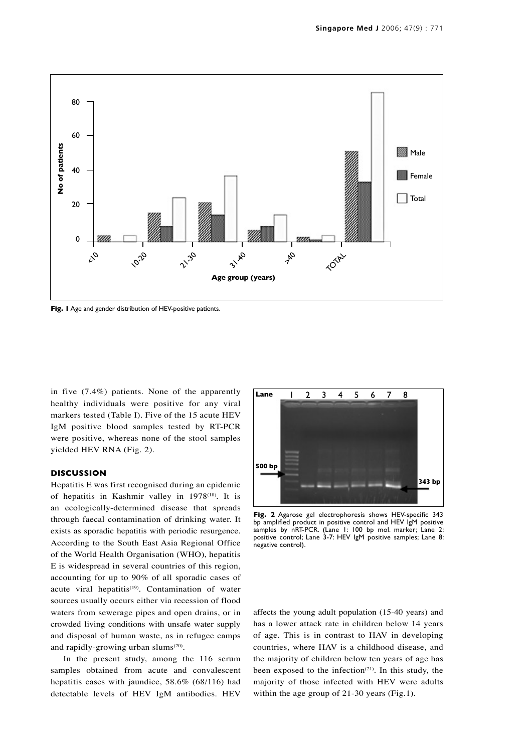

in five (7.4%) patients. None of the apparently healthy individuals were positive for any viral markers tested (Table I). Five of the 15 acute HEV IgM positive blood samples tested by RT-PCR were positive, whereas none of the stool samples yielded HEV RNA (Fig. 2).

# **DISCUSSION**

Hepatitis E was first recognised during an epidemic of hepatitis in Kashmir valley in 1978(18). It is an ecologically-determined disease that spreads through faecal contamination of drinking water. It exists as sporadic hepatitis with periodic resurgence. According to the South East Asia Regional Office of the World Health Organisation (WHO), hepatitis E is widespread in several countries of this region, accounting for up to 90% of all sporadic cases of acute viral hepatitis<sup>(19)</sup>. Contamination of water sources usually occurs either via recession of flood waters from sewerage pipes and open drains, or in crowded living conditions with unsafe water supply and disposal of human waste, as in refugee camps and rapidly-growing urban slums<sup>(20)</sup>.

In the present study, among the 116 serum samples obtained from acute and convalescent hepatitis cases with jaundice, 58.6% (68/116) had detectable levels of HEV IgM antibodies. HEV



**Fig. 2** Agarose gel electrophoresis shows HEV-specific 343 bp amplified product in positive control and HEV IgM positive samples by nRT-PCR. (Lane 1: 100 bp mol. marker; Lane 2: positive control; Lane 3-7: HEV IgM positive samples; Lane 8: .<br>negative control).

affects the young adult population (15-40 years) and has a lower attack rate in children below 14 years of age. This is in contrast to HAV in developing countries, where HAV is a childhood disease, and the majority of children below ten years of age has been exposed to the infection $(21)$ . In this study, the majority of those infected with HEV were adults within the age group of 21-30 years (Fig.1).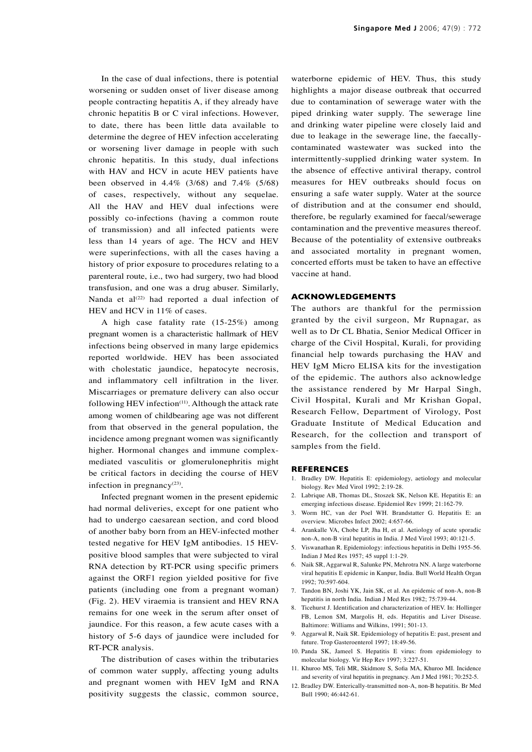In the case of dual infections, there is potential worsening or sudden onset of liver disease among people contracting hepatitis A, if they already have chronic hepatitis B or C viral infections. However, to date, there has been little data available to determine the degree of HEV infection accelerating or worsening liver damage in people with such chronic hepatitis. In this study, dual infections with HAV and HCV in acute HEV patients have been observed in 4.4% (3/68) and 7.4% (5/68) of cases, respectively, without any sequelae. All the HAV and HEV dual infections were possibly co-infections (having a common route of transmission) and all infected patients were less than 14 years of age. The HCV and HEV were superinfections, with all the cases having a history of prior exposure to procedures relating to a parenteral route, i.e., two had surgery, two had blood transfusion, and one was a drug abuser. Similarly, Nanda et al $(22)$  had reported a dual infection of HEV and HCV in 11% of cases.

A high case fatality rate (15-25%) among pregnant women is a characteristic hallmark of HEV infections being observed in many large epidemics reported worldwide. HEV has been associated with cholestatic jaundice, hepatocyte necrosis, and inflammatory cell infiltration in the liver. Miscarriages or premature delivery can also occur following HEV infection $(11)$ . Although the attack rate among women of childbearing age was not different from that observed in the general population, the incidence among pregnant women was significantly higher. Hormonal changes and immune complexmediated vasculitis or glomerulonephritis might be critical factors in deciding the course of HEV infection in pregnancy $(23)$ .

Infected pregnant women in the present epidemic had normal deliveries, except for one patient who had to undergo caesarean section, and cord blood of another baby born from an HEV-infected mother tested negative for HEV IgM antibodies. 15 HEVpositive blood samples that were subjected to viral RNA detection by RT-PCR using specific primers against the ORF1 region yielded positive for five patients (including one from a pregnant woman) (Fig. 2). HEV viraemia is transient and HEV RNA remains for one week in the serum after onset of jaundice. For this reason, a few acute cases with a history of 5-6 days of jaundice were included for RT-PCR analysis.

The distribution of cases within the tributaries of common water supply, affecting young adults and pregnant women with HEV IgM and RNA positivity suggests the classic, common source, waterborne epidemic of HEV. Thus, this study highlights a major disease outbreak that occurred due to contamination of sewerage water with the piped drinking water supply. The sewerage line and drinking water pipeline were closely laid and due to leakage in the sewerage line, the faecallycontaminated wastewater was sucked into the intermittently-supplied drinking water system. In the absence of effective antiviral therapy, control measures for HEV outbreaks should focus on ensuring a safe water supply. Water at the source of distribution and at the consumer end should, therefore, be regularly examined for faecal/sewerage contamination and the preventive measures thereof. Because of the potentiality of extensive outbreaks and associated mortality in pregnant women, concerted efforts must be taken to have an effective vaccine at hand.

#### **ACKNOWLEDGEMENTS**

The authors are thankful for the permission granted by the civil surgeon, Mr Rupnagar, as well as to Dr CL Bhatia, Senior Medical Officer in charge of the Civil Hospital, Kurali, for providing financial help towards purchasing the HAV and HEV IgM Micro ELISA kits for the investigation of the epidemic. The authors also acknowledge the assistance rendered by Mr Harpal Singh, Civil Hospital, Kurali and Mr Krishan Gopal, Research Fellow, Department of Virology, Post Graduate Institute of Medical Education and Research, for the collection and transport of samples from the field.

#### **REFERENCES**

- 1. Bradley DW. Hepatitis E: epidemiology, aetiology and molecular biology. Rev Med Virol 1992; 2:19-28.
- 2. Labrique AB, Thomas DL, Stoszek SK, Nelson KE. Hepatitis E: an emerging infectious disease. Epidemiol Rev 1999; 21:162-79.
- 3. Worm HC, van der Poel WH. Brandstatter G. Hepatitis E: an overview. Microbes Infect 2002; 4:657-66.
- 4. Arankalle VA, Chobe LP, Jha H, et al. Aetiology of acute sporadic non-A, non-B viral hepatitis in India. J Med Virol 1993; 40:121-5.
- 5. Viswanathan R. Epidemiology: infectious hepatitis in Delhi 1955-56. Indian J Med Res 1957; 45 suppl 1:1-29.
- 6. Naik SR, Aggarwal R, Salunke PN, Mehrotra NN. A large waterborne viral hepatitis E epidemic in Kanpur, India. Bull World Health Organ 1992; 70:597-604.
- 7. Tandon BN, Joshi YK, Jain SK, et al. An epidemic of non-A, non-B hepatitis in north India. Indian J Med Res 1982; 75:739-44.
- 8. Ticehurst J. Identification and characterization of HEV. In: Hollinger FB, Lemon SM, Margolis H, eds. Hepatitis and Liver Disease. Baltimore: Williams and Wilkins, 1991; 501-13.
- 9. Aggarwal R, Naik SR. Epidemiology of hepatitis E: past, present and future. Trop Gasteroenterol 1997; 18:49-56.
- 10. Panda SK, Jameel S. Hepatitis E virus: from epidemiology to molecular biology. Vir Hep Rev 1997; 3:227-51.
- 11. Khuroo MS, Teli MR, Skidmore S, Sofia MA, Khuroo MI. Incidence and severity of viral hepatitis in pregnancy. Am J Med 1981; 70:252-5.
- 12. Bradley DW. Enterically-transmitted non-A, non-B hepatitis. Br Med Bull 1990; 46:442-61.